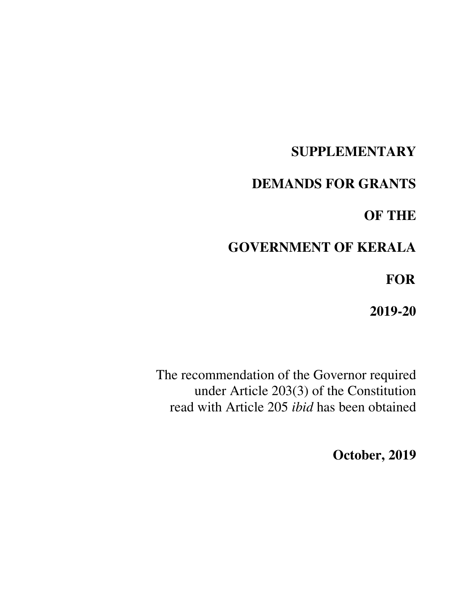# **SUPPLEMENTARY**

# **DEMANDS FOR GRANTS**

# **OF THE**

# **GOVERNMENT OF KERALA**

 **FOR** 

**2019-20** 

The recommendation of the Governor required under Article 203(3) of the Constitution read with Article 205 *ibid* has been obtained

**October, 2019**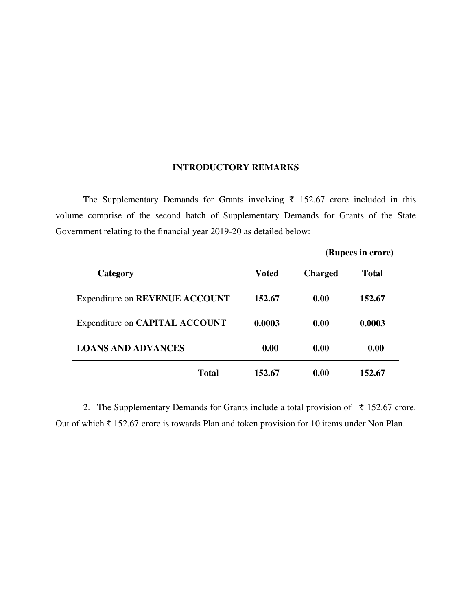# **INTRODUCTORY REMARKS**

The Supplementary Demands for Grants involving  $\bar{\tau}$  152.67 crore included in this volume comprise of the second batch of Supplementary Demands for Grants of the State Government relating to the financial year 2019-20 as detailed below:

|                                |              |                | (Rupees in crore) |
|--------------------------------|--------------|----------------|-------------------|
| Category                       | <b>Voted</b> | <b>Charged</b> | Total             |
| Expenditure on REVENUE ACCOUNT | 152.67       | 0.00           | 152.67            |
| Expenditure on CAPITAL ACCOUNT | 0.0003       | 0.00           | 0.0003            |
| <b>LOANS AND ADVANCES</b>      | 0.00         | 0.00           | 0.00              |
| <b>Total</b>                   | 152.67       | 0.00           | 152.67            |

2. The Supplementary Demands for Grants include a total provision of  $\bar{\tau}$  152.67 crore. Out of which  $\bar{\tau}$  152.67 crore is towards Plan and token provision for 10 items under Non Plan.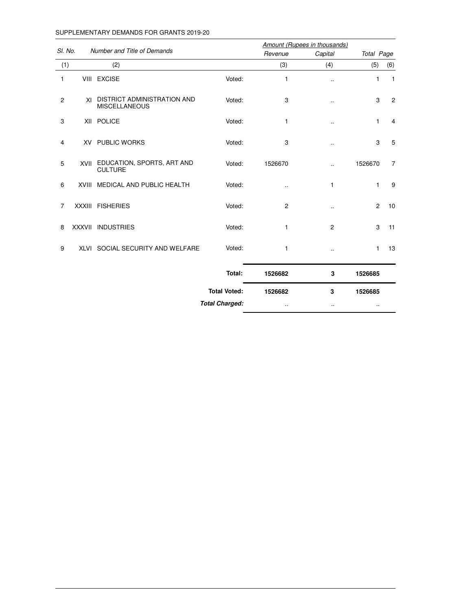#### SUPPLEMENTARY DEMANDS FOR GRANTS 2019-20

|                |                                                        | Amount (Rupees in thousands) |                |                |                |                |
|----------------|--------------------------------------------------------|------------------------------|----------------|----------------|----------------|----------------|
| SI. No.        | Number and Title of Demands                            |                              | Revenue        | Capital        | Total Page     |                |
| (1)            | (2)                                                    |                              | (3)            | (4)            | (5)            | (6)            |
| 1              | VIII EXCISE                                            | Voted:                       | $\mathbf{1}$   |                | 1              | $\overline{1}$ |
| $\overline{c}$ | XI DISTRICT ADMINISTRATION AND<br><b>MISCELLANEOUS</b> | Voted:                       | 3              |                | 3              | $\overline{c}$ |
| 3              | XII POLICE                                             | Voted:                       | $\mathbf{1}$   | $\cdot$        | 1              | 4              |
| 4              | <b>XV PUBLIC WORKS</b>                                 | Voted:                       | 3              |                | 3              | 5              |
| 5              | XVII EDUCATION, SPORTS, ART AND<br><b>CULTURE</b>      | Voted:                       | 1526670        |                | 1526670        | $\overline{7}$ |
| 6              | XVIII MEDICAL AND PUBLIC HEALTH                        | Voted:                       | $\cdot$ .      | 1              | $\mathbf{1}$   | 9              |
| $\overline{7}$ | XXXIII FISHERIES                                       | Voted:                       | $\overline{2}$ |                | $\overline{2}$ | 10             |
| 8              | XXXVII INDUSTRIES                                      | Voted:                       | $\mathbf{1}$   | $\overline{2}$ | 3              | 11             |
| 9              | XLVI SOCIAL SECURITY AND WELFARE                       | Voted:                       | 1              |                | $\mathbf{1}$   | 13             |
|                |                                                        | Total:                       | 1526682        | 3              | 1526685        |                |
|                |                                                        | <b>Total Voted:</b>          | 1526682        | 3              | 1526685        |                |
|                |                                                        | <b>Total Charged:</b>        | $\cdot$ .      | $\cdot$ .      | $\cdot$ .      |                |
|                |                                                        |                              |                |                |                |                |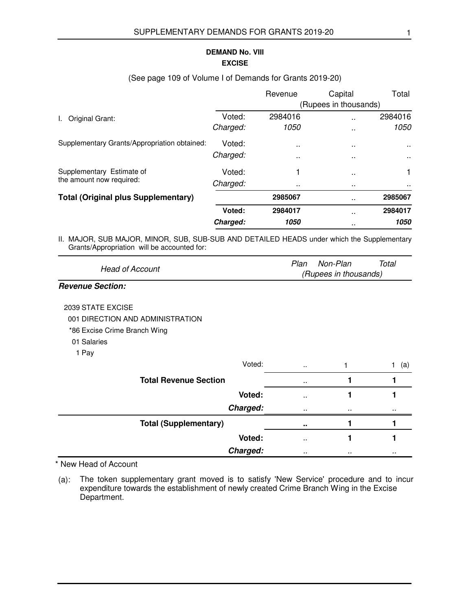## **EXCISE DEMAND No. VIII**

|          | Revenue     | Capital              | Total                 |
|----------|-------------|----------------------|-----------------------|
|          |             |                      |                       |
| Voted:   | 2984016     | $\ddot{\phantom{a}}$ | 2984016               |
| Charged: | <i>1050</i> |                      | 1050                  |
| Voted:   | $\sim$      | $\ddot{\phantom{0}}$ | $\sim$                |
| Charged: | $\sim$      | $\sim$               | $\sim$                |
| Voted:   |             | $\ddot{\phantom{a}}$ | 1                     |
| Charged: | $\sim$      | $\ddot{\phantom{1}}$ |                       |
|          | 2985067     | $\ddot{\phantom{1}}$ | 2985067               |
| Voted:   | 2984017     | $\ddot{\phantom{1}}$ | 2984017               |
| Charged: | 1050        | $\ddot{\phantom{1}}$ | 1050                  |
|          |             |                      | (Rupees in thousands) |

#### (See page 109 of Volume I of Demands for Grants 2019-20)

II. MAJOR, SUB MAJOR, MINOR, SUB, SUB-SUB AND DETAILED HEADS under which the Supplementary Grants/Appropriation will be accounted for:

|                        | Plan Non-Plan         | Total |
|------------------------|-----------------------|-------|
| <b>Head of Account</b> | (Rupees in thousands) |       |

### **Revenue Section:**

- 2039 STATE EXCISE
- 001 DIRECTION AND ADMINISTRATION
- \*86 Excise Crime Branch Wing
- 01 Salaries
- 1 Pay

| Voted:                       | $\sim$ $\sim$       |           | (a)       |
|------------------------------|---------------------|-----------|-----------|
| <b>Total Revenue Section</b> | $\sim$              |           |           |
| Voted:                       | $\cdots$            |           |           |
| Charged:                     | $\cdot$             | $\cdot$   | $\cdot$ . |
| <b>Total (Supplementary)</b> | $\bullet$ $\bullet$ |           |           |
| Voted:                       | $\sim$              |           |           |
| Charged:                     | $\cdot$ .           | $\cdot$ . |           |

\* New Head of Account

(a): The token supplementary grant moved is to satisfy 'New Service' procedure and to incur expenditure towards the establishment of newly created Crime Branch Wing in the Excise Department.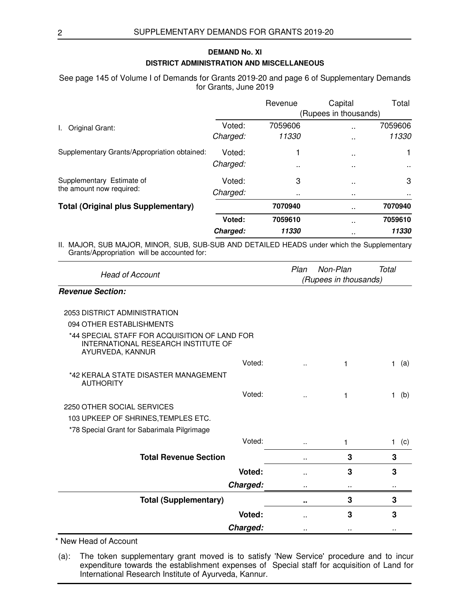### **DISTRICT ADMINISTRATION AND MISCELLANEOUS DEMAND No. XI**

See page 145 of Volume I of Demands for Grants 2019-20 and page 6 of Supplementary Demands for Grants, June 2019

|                                              |          | Revenue              | Capital               | Total   |
|----------------------------------------------|----------|----------------------|-----------------------|---------|
|                                              |          |                      | (Rupees in thousands) |         |
| Original Grant:<br>L.                        | Voted:   | 7059606              | ٠.                    | 7059606 |
|                                              | Charged: | 11330                | $\ddot{\phantom{0}}$  | 11330   |
| Supplementary Grants/Appropriation obtained: | Voted:   |                      | $\ddot{\phantom{a}}$  | 1       |
|                                              | Charged: | $\ddot{\phantom{1}}$ | $\ddot{\phantom{0}}$  | $\sim$  |
| Supplementary Estimate of                    | Voted:   | 3                    | $\sim$                | 3       |
| the amount now required:                     | Charged: | $\cdots$             | $\sim$                |         |
| <b>Total (Original plus Supplementary)</b>   |          | 7070940              | $\ddot{\phantom{1}}$  | 7070940 |
|                                              | Voted:   | 7059610              | $\ddot{\phantom{1}}$  | 7059610 |
|                                              | Charged: | 11330                | $\ddot{\phantom{1}}$  | 11330   |

II. MAJOR, SUB MAJOR, MINOR, SUB, SUB-SUB AND DETAILED HEADS under which the Supplementary Grants/Appropriation will be accounted for:

| <b>Head of Account</b>                                                                                   |    | Non-Plan<br>(Rupees in thousands) | Total               |
|----------------------------------------------------------------------------------------------------------|----|-----------------------------------|---------------------|
| <b>Revenue Section:</b>                                                                                  |    |                                   |                     |
| 2053 DISTRICT ADMINISTRATION                                                                             |    |                                   |                     |
| 094 OTHER ESTABLISHMENTS                                                                                 |    |                                   |                     |
| *44 SPECIAL STAFF FOR ACQUISITION OF LAND FOR<br>INTERNATIONAL RESEARCH INSTITUTE OF<br>AYURVEDA, KANNUR |    |                                   |                     |
| Voted:                                                                                                   |    | 1                                 | (a)<br>$\mathbf{1}$ |
| *42 KERALA STATE DISASTER MANAGEMENT<br><b>AUTHORITY</b>                                                 |    |                                   |                     |
| Voted:                                                                                                   | ٠. |                                   | 1.<br>(b)           |
| 2250 OTHER SOCIAL SERVICES                                                                               |    |                                   |                     |
| 103 UPKEEP OF SHRINES, TEMPLES ETC.                                                                      |    |                                   |                     |
| *78 Special Grant for Sabarimala Pilgrimage                                                              |    |                                   |                     |
| Voted:                                                                                                   | Ω. | 1                                 | (c)<br>$\mathbf{1}$ |
| <b>Total Revenue Section</b>                                                                             |    | 3                                 | 3                   |
| Voted:                                                                                                   |    | 3                                 | 3                   |
| Charged:                                                                                                 |    | $\ddot{\phantom{a}}$              |                     |
| <b>Total (Supplementary)</b>                                                                             |    | 3                                 | 3                   |
| Voted:                                                                                                   |    | 3                                 | 3                   |
| Charged:                                                                                                 |    |                                   |                     |

\* New Head of Account

(a): The token supplementary grant moved is to satisfy 'New Service' procedure and to incur expenditure towards the establishment expenses of Special staff for acquisition of Land for International Research Institute of Ayurveda, Kannur.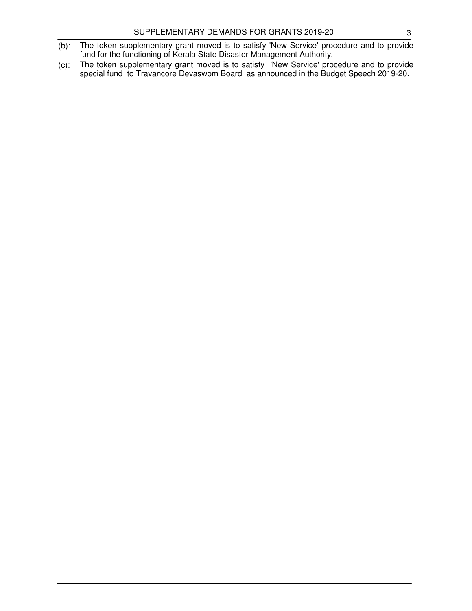- (b): The token supplementary grant moved is to satisfy 'New Service' procedure and to provide fund for the functioning of Kerala State Disaster Management Authority.
- (c): The token supplementary grant moved is to satisfy 'New Service' procedure and to provide special fund to Travancore Devaswom Board as announced in the Budget Speech 2019-20.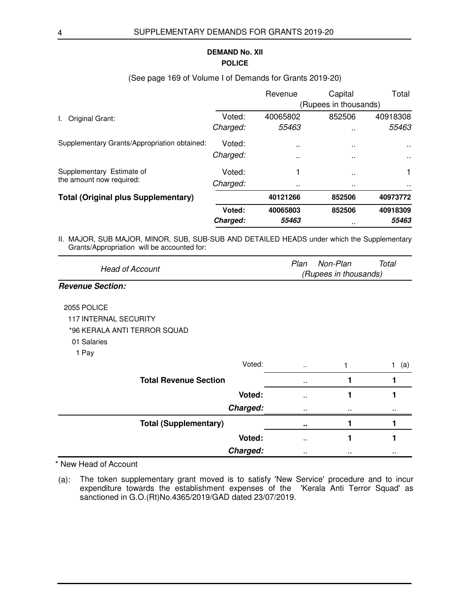## **POLICE DEMAND No. XII**

|                                              |          | Revenue              | Capital               | Total         |
|----------------------------------------------|----------|----------------------|-----------------------|---------------|
|                                              |          |                      | (Rupees in thousands) |               |
| Original Grant:<br>I.                        | Voted:   | 40065802             | 852506                | 40918308      |
|                                              | Charged: | 55463                | $\sim$                | 55463         |
| Supplementary Grants/Appropriation obtained: | Voted:   | $\ddot{\phantom{0}}$ | $\sim$                | $\sim$ $\sim$ |
|                                              | Charged: | $\sim$               | $\ddot{\phantom{1}}$  | $\sim$        |
| Supplementary Estimate of                    | Voted:   |                      |                       |               |
| the amount now required:                     | Charged: | $\ddot{\phantom{0}}$ | $\sim$                |               |
| <b>Total (Original plus Supplementary)</b>   |          | 40121266             | 852506                | 40973772      |
|                                              | Voted:   | 40065803             | 852506                | 40918309      |
|                                              | Charged: | 55463                | $\ddot{\phantom{1}}$  | 55463         |

### (See page 169 of Volume I of Demands for Grants 2019-20)

II. MAJOR, SUB MAJOR, MINOR, SUB, SUB-SUB AND DETAILED HEADS under which the Supplementary Grants/Appropriation will be accounted for:

|                        | Plan | Non-Plan              | Total |
|------------------------|------|-----------------------|-------|
| <b>Head of Account</b> |      | (Rupees in thousands) |       |

#### **Revenue Section:**

#### 2055 POLICE

- 117 INTERNAL SECURITY
- \*96 KERALA ANTI TERROR SQUAD
- 01 Salaries
- 1 Pay

| Voted:                       | $\sim$          |                 | (a) |
|------------------------------|-----------------|-----------------|-----|
| <b>Total Revenue Section</b> | $\sim$          |                 |     |
| Voted:                       | $\sim$          |                 |     |
| Charged:                     | $\cdot$ $\cdot$ | $\cdot$         |     |
| <b>Total (Supplementary)</b> | $\sim$ $\sim$   |                 |     |
| Voted:                       | $\sim$          |                 |     |
| Charged:                     | $\cdot$ $\cdot$ | $\cdot$ $\cdot$ |     |

\* New Head of Account

(a): The token supplementary grant moved is to satisfy 'New Service' procedure and to incur expenditure towards the establishment expenses of the 'Kerala Anti Terror Squad' as sanctioned in G.O.(Rt)No.4365/2019/GAD dated 23/07/2019.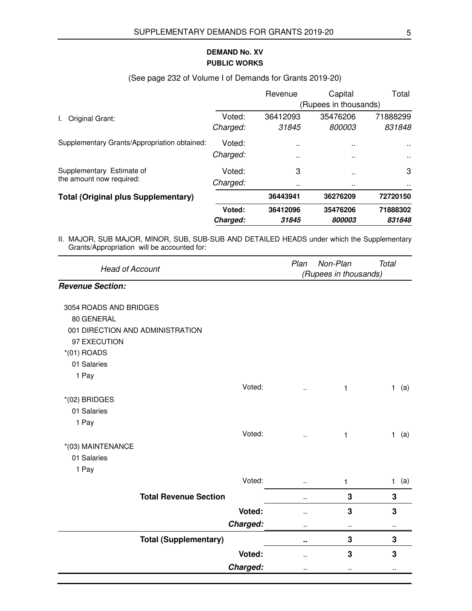## **PUBLIC WORKS DEMAND No. XV**

|                                              |          | Revenue       | Capital               | Total    |
|----------------------------------------------|----------|---------------|-----------------------|----------|
|                                              |          |               | (Rupees in thousands) |          |
| Original Grant:<br>L.                        | Voted:   | 36412093      | 35476206              | 71888299 |
|                                              | Charged: | 31845         | 800003                | 831848   |
| Supplementary Grants/Appropriation obtained: | Voted:   | $\sim$        | $\ddot{\phantom{1}}$  | $\sim$   |
|                                              | Charged: | $\sim$        | $\ddot{\phantom{1}}$  | $\sim$   |
| Supplementary Estimate of                    | Voted:   | 3             | $\sim$                | 3        |
| the amount now required:                     | Charged: | $\sim$ $\sim$ | $\ddot{\phantom{1}}$  |          |
| <b>Total (Original plus Supplementary)</b>   |          | 36443941      | 36276209              | 72720150 |
|                                              | Voted:   | 36412096      | 35476206              | 71888302 |
|                                              | Charged: | 31845         | 800003                | 831848   |

#### (See page 232 of Volume I of Demands for Grants 2019-20)

II. MAJOR, SUB MAJOR, MINOR, SUB, SUB-SUB AND DETAILED HEADS under which the Supplementary Grants/Appropriation will be accounted for:

| <b>Head of Account</b>           |                      | Non-Plan<br>(Rupees in thousands) | <b>Total</b>        |
|----------------------------------|----------------------|-----------------------------------|---------------------|
| <b>Revenue Section:</b>          |                      |                                   |                     |
| 3054 ROADS AND BRIDGES           |                      |                                   |                     |
| 80 GENERAL                       |                      |                                   |                     |
| 001 DIRECTION AND ADMINISTRATION |                      |                                   |                     |
| 97 EXECUTION                     |                      |                                   |                     |
| $*(01)$ ROADS                    |                      |                                   |                     |
| 01 Salaries                      |                      |                                   |                     |
| 1 Pay                            |                      |                                   |                     |
| Voted:                           | $\ddot{\phantom{1}}$ | 1                                 | (a)<br>$\mathbf{1}$ |
| $*(02)$ BRIDGES                  |                      |                                   |                     |
| 01 Salaries                      |                      |                                   |                     |
| 1 Pay                            |                      |                                   |                     |
| Voted:                           | Ω,                   | 1                                 | (a)<br>$\mathbf{1}$ |
| *(03) MAINTENANCE                |                      |                                   |                     |
| 01 Salaries                      |                      |                                   |                     |
| 1 Pay                            |                      |                                   |                     |
| Voted:                           | ٠.                   | 1                                 | $1$ (a)             |
| <b>Total Revenue Section</b>     | $\ddot{\phantom{1}}$ | 3                                 | 3                   |
| Voted:                           | . .                  | 3                                 | 3                   |
| Charged:                         |                      | .,                                |                     |
| <b>Total (Supplementary)</b>     | н.                   | 3                                 | 3                   |
| Voted:                           | $\ddot{\phantom{a}}$ | 3                                 | 3                   |
| Charged:                         |                      |                                   |                     |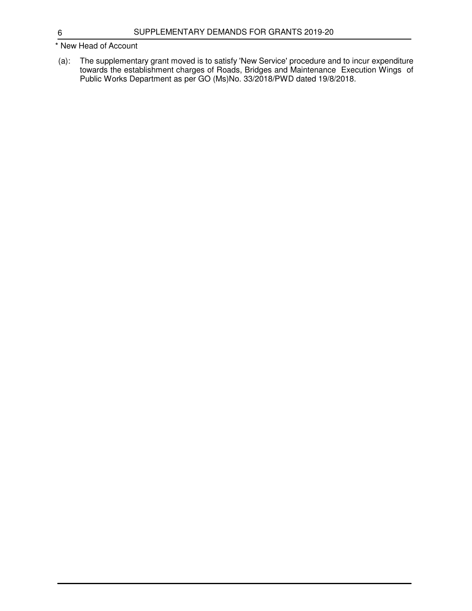### \* New Head of Account

(a): The supplementary grant moved is to satisfy 'New Service' procedure and to incur expenditure towards the establishment charges of Roads, Bridges and Maintenance Execution Wings of Public Works Department as per GO (Ms)No. 33/2018/PWD dated 19/8/2018.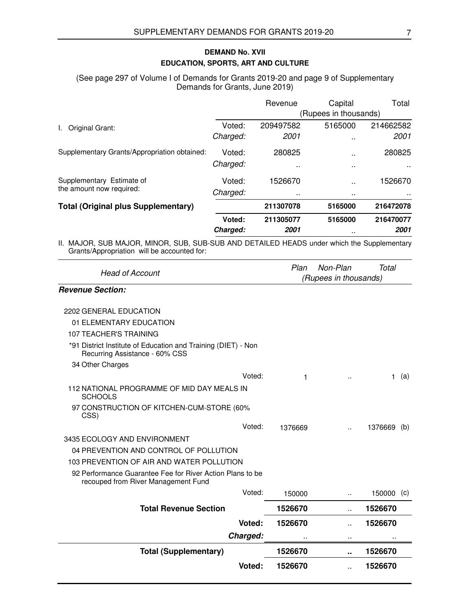## **EDUCATION, SPORTS, ART AND CULTURE DEMAND No. XVII**

(See page 297 of Volume I of Demands for Grants 2019-20 and page 9 of Supplementary Demands for Grants, June 2019)

|                                              |                       | Revenue              | Capital              | Total     |
|----------------------------------------------|-----------------------|----------------------|----------------------|-----------|
|                                              | (Rupees in thousands) |                      |                      |           |
| Original Grant:                              | Voted:                | 209497582            | 5165000              | 214662582 |
|                                              | Charged:              | 2001                 | $\ddot{\phantom{1}}$ | 2001      |
| Supplementary Grants/Appropriation obtained: | Voted:                | 280825               | $\ddot{\phantom{1}}$ | 280825    |
|                                              | Charged:              | $\ddot{\phantom{0}}$ | $\ddot{\phantom{1}}$ |           |
| Supplementary Estimate of                    | Voted:                | 1526670              | $\sim$               | 1526670   |
| the amount now required:                     | Charged:              | $\sim$               | $\ddot{\phantom{1}}$ |           |
| <b>Total (Original plus Supplementary)</b>   |                       | 211307078            | 5165000              | 216472078 |
|                                              | Voted:                | 211305077            | 5165000              | 216470077 |
|                                              | Charged:              | 2001                 | $\ddot{\phantom{0}}$ | 2001      |

II. MAJOR, SUB MAJOR, MINOR, SUB, SUB-SUB AND DETAILED HEADS under which the Supplementary Grants/Appropriation will be accounted for:

| <b>Head of Account</b>                                                                           | Plan    | Non-Plan<br>(Rupees in thousands) | Total   |     |
|--------------------------------------------------------------------------------------------------|---------|-----------------------------------|---------|-----|
| <b>Revenue Section:</b>                                                                          |         |                                   |         |     |
| 2202 GENERAL EDUCATION                                                                           |         |                                   |         |     |
| 01 ELEMENTARY EDUCATION                                                                          |         |                                   |         |     |
| 107 TEACHER'S TRAINING                                                                           |         |                                   |         |     |
| *91 District Institute of Education and Training (DIET) - Non<br>Recurring Assistance - 60% CSS  |         |                                   |         |     |
| 34 Other Charges                                                                                 |         |                                   |         |     |
| Voted:                                                                                           | 1       |                                   | 1.      | (a) |
| 112 NATIONAL PROGRAMME OF MID DAY MEALS IN<br><b>SCHOOLS</b>                                     |         |                                   |         |     |
| 97 CONSTRUCTION OF KITCHEN-CUM-STORE (60%<br>CSS)                                                |         |                                   |         |     |
| Voted:                                                                                           | 1376669 | $\ddot{\phantom{a}}$              | 1376669 | (b) |
| 3435 ECOLOGY AND ENVIRONMENT                                                                     |         |                                   |         |     |
| 04 PREVENTION AND CONTROL OF POLLUTION                                                           |         |                                   |         |     |
| 103 PREVENTION OF AIR AND WATER POLLUTION                                                        |         |                                   |         |     |
| 92 Performance Guarantee Fee for River Action Plans to be<br>recouped from River Management Fund |         |                                   |         |     |
| Voted:                                                                                           | 150000  | ä.                                | 150000  | (C) |
| <b>Total Revenue Section</b>                                                                     | 1526670 | ä.                                | 1526670 |     |
| Voted:                                                                                           | 1526670 | $\ddot{\phantom{a}}$              | 1526670 |     |
| Charged:                                                                                         |         | $\ddot{\phantom{a}}$              |         |     |
| <b>Total (Supplementary)</b>                                                                     | 1526670 |                                   | 1526670 |     |
| Voted:                                                                                           | 1526670 | ٠.                                | 1526670 |     |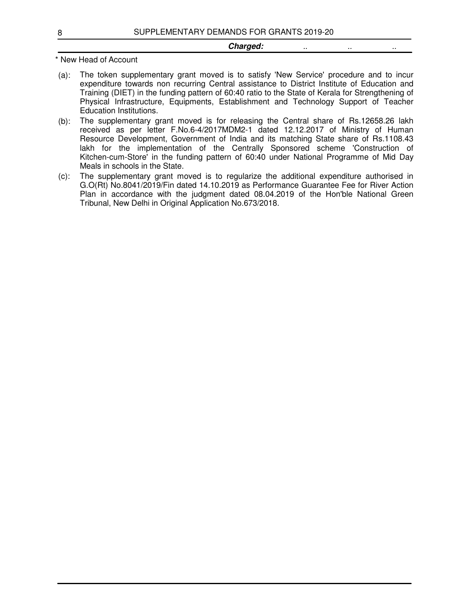#### **Charged:** ... ... ... ...

- (a): The token supplementary grant moved is to satisfy 'New Service' procedure and to incur expenditure towards non recurring Central assistance to District Institute of Education and Training (DIET) in the funding pattern of 60:40 ratio to the State of Kerala for Strengthening of Physical Infrastructure, Equipments, Establishment and Technology Support of Teacher Education Institutions.
- (b): The supplementary grant moved is for releasing the Central share of Rs.12658.26 lakh received as per letter F.No.6-4/2017MDM2-1 dated 12.12.2017 of Ministry of Human Resource Development, Government of India and its matching State share of Rs.1108.43 lakh for the implementation of the Centrally Sponsored scheme 'Construction of Kitchen-cum-Store' in the funding pattern of 60:40 under National Programme of Mid Day Meals in schools in the State.
- (c): The supplementary grant moved is to regularize the additional expenditure authorised in G.O(Rt) No.8041/2019/Fin dated 14.10.2019 as Performance Guarantee Fee for River Action Plan in accordance with the judgment dated 08.04.2019 of the Hon'ble National Green Tribunal, New Delhi in Original Application No.673/2018.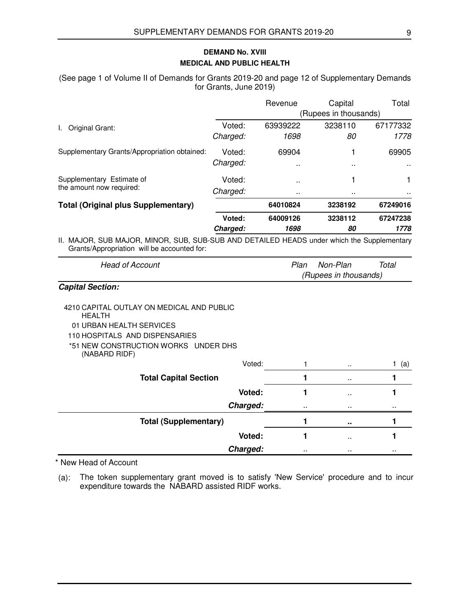### **MEDICAL AND PUBLIC HEALTH DEMAND No. XVIII**

(See page 1 of Volume II of Demands for Grants 2019-20 and page 12 of Supplementary Demands for Grants, June 2019)

|                                              |          | Revenue              | Capital               | Total         |
|----------------------------------------------|----------|----------------------|-----------------------|---------------|
|                                              |          |                      | (Rupees in thousands) |               |
| Original Grant:<br>I.                        | Voted:   | 63939222             | 3238110               | 67177332      |
|                                              | Charged: | 1698                 | 80                    | 1778          |
| Supplementary Grants/Appropriation obtained: | Voted:   | 69904                |                       | 69905         |
|                                              | Charged: | $\ddot{\phantom{0}}$ | $\ddot{\phantom{0}}$  | $\sim$        |
| Supplementary Estimate of                    | Voted:   | $\sim$               |                       | 1             |
| the amount now required:                     | Charged: | $\sim$ $\sim$        |                       | $\sim$ $\sim$ |
| <b>Total (Original plus Supplementary)</b>   |          | 64010824             | 3238192               | 67249016      |
|                                              | Voted:   | 64009126             | 3238112               | 67247238      |
|                                              | Charged: | 1698                 | 80                    | 1778          |

II. MAJOR, SUB MAJOR, MINOR, SUB, SUB-SUB AND DETAILED HEADS under which the Supplementary Grants/Appropriation will be accounted for:

| <b>Head of Account</b> | Plan Non-Plan         | Total |
|------------------------|-----------------------|-------|
|                        | (Rupees in thousands) |       |

#### **Capital Section:**

- 4210 CAPITAL OUTLAY ON MEDICAL AND PUBLIC HEALTH 01 URBAN HEALTH SERVICES 110 HOSPITALS AND DISPENSARIES
	- \*51 NEW CONSTRUCTION WORKS UNDER DHS (NABARD RIDF)

| Voted:                       |           | $\sim$          | (a)     |
|------------------------------|-----------|-----------------|---------|
| <b>Total Capital Section</b> |           | $\sim$ $\sim$   |         |
| Voted:                       |           | $\sim$          |         |
| Charged:                     | $\cdot$ . |                 | $\cdot$ |
| <b>Total (Supplementary)</b> |           | $\bullet$       |         |
| Voted:                       |           | $\sim$          |         |
| Charged:                     | $\cdot$ . | $\cdot$ $\cdot$ |         |

\* New Head of Account

(a): The token supplementary grant moved is to satisfy 'New Service' procedure and to incur expenditure towards the NABARD assisted RIDF works.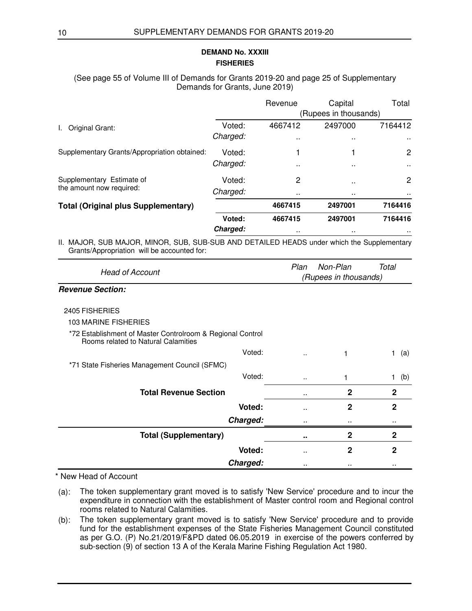### **FISHERIES DEMAND No. XXXIII**

### (See page 55 of Volume III of Demands for Grants 2019-20 and page 25 of Supplementary Demands for Grants, June 2019)

|                                              |                       | Revenue              | Capital | Total                |  |
|----------------------------------------------|-----------------------|----------------------|---------|----------------------|--|
|                                              | (Rupees in thousands) |                      |         |                      |  |
| Original Grant:                              | Voted:                | 4667412              | 2497000 | 7164412              |  |
|                                              | Charged:              |                      | $\sim$  | $\sim$ $\sim$        |  |
| Supplementary Grants/Appropriation obtained: | Voted:                |                      |         | $\mathbf{2}$         |  |
|                                              | Charged:              | $\ddot{\phantom{0}}$ | $\sim$  | $\sim$               |  |
| Supplementary Estimate of                    | Voted:                | 2                    | $\sim$  | $\mathbf{2}$         |  |
| the amount now required:                     | Charged:              | $\sim$               | $\sim$  | $\ddot{\phantom{0}}$ |  |
| <b>Total (Original plus Supplementary)</b>   |                       | 4667415              | 2497001 | 7164416              |  |
|                                              | Voted:                | 4667415              | 2497001 | 7164416              |  |
|                                              | Charged:              |                      |         |                      |  |

II. MAJOR, SUB MAJOR, MINOR, SUB, SUB-SUB AND DETAILED HEADS under which the Supplementary Grants/Appropriation will be accounted for:

| <b>Head of Account</b>                                                                                                                                                                                                            | Plan<br>Non-Plan<br>Total<br>(Rupees in thousands) |              |              |
|-----------------------------------------------------------------------------------------------------------------------------------------------------------------------------------------------------------------------------------|----------------------------------------------------|--------------|--------------|
| <b>Revenue Section:</b>                                                                                                                                                                                                           |                                                    |              |              |
| 2405 FISHERIES                                                                                                                                                                                                                    |                                                    |              |              |
| 103 MARINE FISHERIES                                                                                                                                                                                                              |                                                    |              |              |
| *72 Establishment of Master Controlroom & Regional Control<br>Rooms related to Natural Calamities                                                                                                                                 |                                                    |              |              |
| Voted:                                                                                                                                                                                                                            | ٠.                                                 |              | 1<br>(a)     |
| *71 State Fisheries Management Council (SFMC)                                                                                                                                                                                     |                                                    |              |              |
| Voted:                                                                                                                                                                                                                            | $\sim$                                             |              | (b)<br>1     |
| <b>Total Revenue Section</b>                                                                                                                                                                                                      |                                                    | $\mathbf{2}$ | $\mathbf{2}$ |
| Voted:                                                                                                                                                                                                                            |                                                    | $\mathbf{2}$ | $\mathbf{2}$ |
| Charged:                                                                                                                                                                                                                          |                                                    |              |              |
| <b>Total (Supplementary)</b>                                                                                                                                                                                                      | ۰.                                                 | $\mathbf{2}$ | 2            |
| Voted:                                                                                                                                                                                                                            | . .                                                | $\mathbf{2}$ | $\mathbf{2}$ |
| Charged:                                                                                                                                                                                                                          |                                                    |              |              |
| $\mathbf{r}$ . The state of the state of the state of the state of the state of the state of the state of the state of the state of the state of the state of the state of the state of the state of the state of the state of th |                                                    |              |              |

- (a): The token supplementary grant moved is to satisfy 'New Service' procedure and to incur the expenditure in connection with the establishment of Master control room and Regional control rooms related to Natural Calamities.
- (b): The token supplementary grant moved is to satisfy 'New Service' procedure and to provide fund for the establishment expenses of the State Fisheries Management Council constituted as per G.O. (P) No.21/2019/F&PD dated 06.05.2019 in exercise of the powers conferred by sub-section (9) of section 13 A of the Kerala Marine Fishing Regulation Act 1980.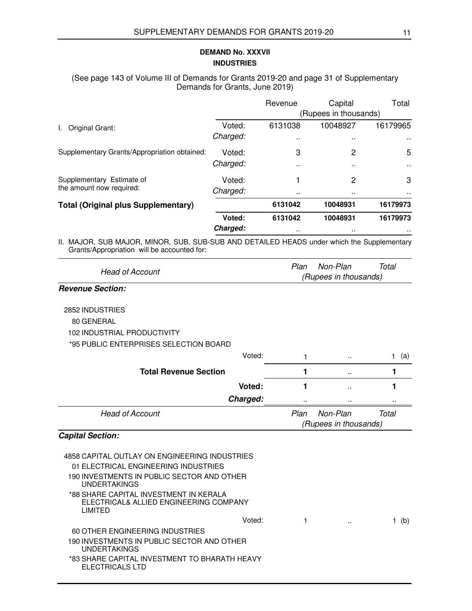## **INDUSTRIES DEMAND No. XXXVII**

#### (See page 143 of Volume III of Demands for Grants 2019-20 and page 31 of Supplementary Demands for Grants, June 2019)

|                                              |          | Revenue              | Capital               | Total         |
|----------------------------------------------|----------|----------------------|-----------------------|---------------|
|                                              |          |                      | (Rupees in thousands) |               |
| Original Grant:                              | Voted:   | 6131038              | 10048927              | 16179965      |
|                                              | Charged: | $\sim$               | $\sim$ $\sim$         | $\sim$ $\sim$ |
| Supplementary Grants/Appropriation obtained: | Voted:   | 3                    | 2                     | 5             |
|                                              | Charged: |                      | $\sim$                | $\sim$        |
| Supplementary Estimate of                    | Voted:   |                      | 2                     | 3             |
| the amount now required:                     | Charged: | $\ddot{\phantom{0}}$ | $\sim$                | $\sim$ $\sim$ |
| <b>Total (Original plus Supplementary)</b>   |          | 6131042              | 10048931              | 16179973      |
|                                              | Voted:   | 6131042              | 10048931              | 16179973      |
|                                              | Charged: | $\sim$               | $\sim$                | $\sim$        |

II. MAJOR, SUB MAJOR, MINOR, SUB, SUB-SUB AND DETAILED HEADS under which the Supplementary Grants/Appropriation will be accounted for:

| <b>Head of Account</b> | Plan | Non-Plan              | Total |
|------------------------|------|-----------------------|-------|
|                        |      | (Rupees in thousands) |       |

### **Revenue Section:**

2852 INDUSTRIES 80 GENERAL 102 INDUSTRIAL PRODUCTIVITY

\*95 PUBLIC ENTERPRISES SELECTION BOARD

| Voted:                       |                       | $\ddot{\phantom{a}}$ | (a)   |
|------------------------------|-----------------------|----------------------|-------|
| <b>Total Revenue Section</b> |                       | $\cdot$ .            |       |
| Voted:                       |                       | $\cdot$ .            |       |
| Charged:                     |                       |                      |       |
| <b>Head of Account</b>       | Plan                  | Non-Plan             | Total |
|                              | (Rupees in thousands) |                      |       |

## **Capital Section:**

| 4858 CAPITAL OUTLAY ON ENGINEERING INDUSTRIES<br>01 ELECTRICAL ENGINEERING INDUSTRIES       |        |  |     |
|---------------------------------------------------------------------------------------------|--------|--|-----|
| 190 INVESTMENTS IN PUBLIC SECTOR AND OTHER<br><b>UNDERTAKINGS</b>                           |        |  |     |
| *88 SHARE CAPITAL INVESTMENT IN KERALA<br>ELECTRICAL& ALLIED ENGINEERING COMPANY<br>LIMITED |        |  |     |
|                                                                                             | Voted: |  | (b) |
| 60 OTHER ENGINEERING INDUSTRIES                                                             |        |  |     |
| 190 INVESTMENTS IN PUBLIC SECTOR AND OTHER<br><b>UNDERTAKINGS</b>                           |        |  |     |
| *83 SHARE CAPITAL INVESTMENT TO BHARATH HEAVY<br>ELECTRICALS LTD                            |        |  |     |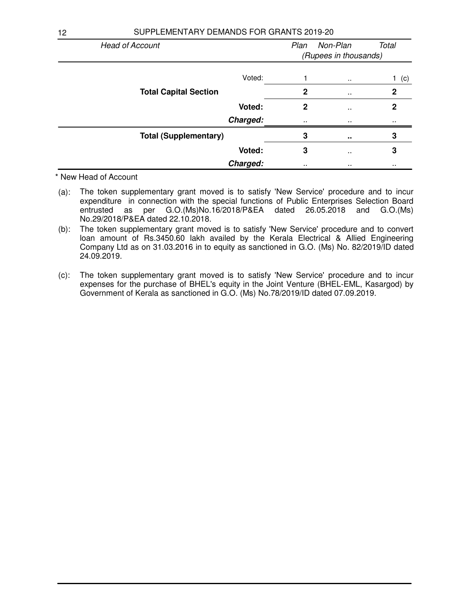| <b>Head of Account</b>       |             | Non-Plan<br>Plan<br>Total |          |  |
|------------------------------|-------------|---------------------------|----------|--|
|                              |             | (Rupees in thousands)     |          |  |
| Voted:                       |             | $\sim$                    | (c)      |  |
| <b>Total Capital Section</b> | $\mathbf 2$ | $\ddot{\phantom{1}}$      | 2        |  |
| Voted:                       | 2           | $\ddot{\phantom{0}}$      | 2        |  |
| Charged:                     | $\cdot$ .   | $\cdot$ .                 | $\cdots$ |  |
| <b>Total (Supplementary)</b> | 3           | $\sim$                    | 3        |  |
| Voted:                       | 3           | $\ddot{\phantom{0}}$      | 3        |  |
| Charged:                     | $\cdots$    |                           |          |  |

- (a): The token supplementary grant moved is to satisfy 'New Service' procedure and to incur expenditure in connection with the special functions of Public Enterprises Selection Board entrusted as per G.O.(Ms)No.16/2018/P&EA dated 26.05.2018 and G.O.(Ms) No.29/2018/P&EA dated 22.10.2018.
- (b): The token supplementary grant moved is to satisfy 'New Service' procedure and to convert loan amount of Rs.3450.60 lakh availed by the Kerala Electrical & Allied Engineering Company Ltd as on 31.03.2016 in to equity as sanctioned in G.O. (Ms) No. 82/2019/ID dated 24.09.2019.
- (c): The token supplementary grant moved is to satisfy 'New Service' procedure and to incur expenses for the purchase of BHEL's equity in the Joint Venture (BHEL-EML, Kasargod) by Government of Kerala as sanctioned in G.O. (Ms) No.78/2019/ID dated 07.09.2019.